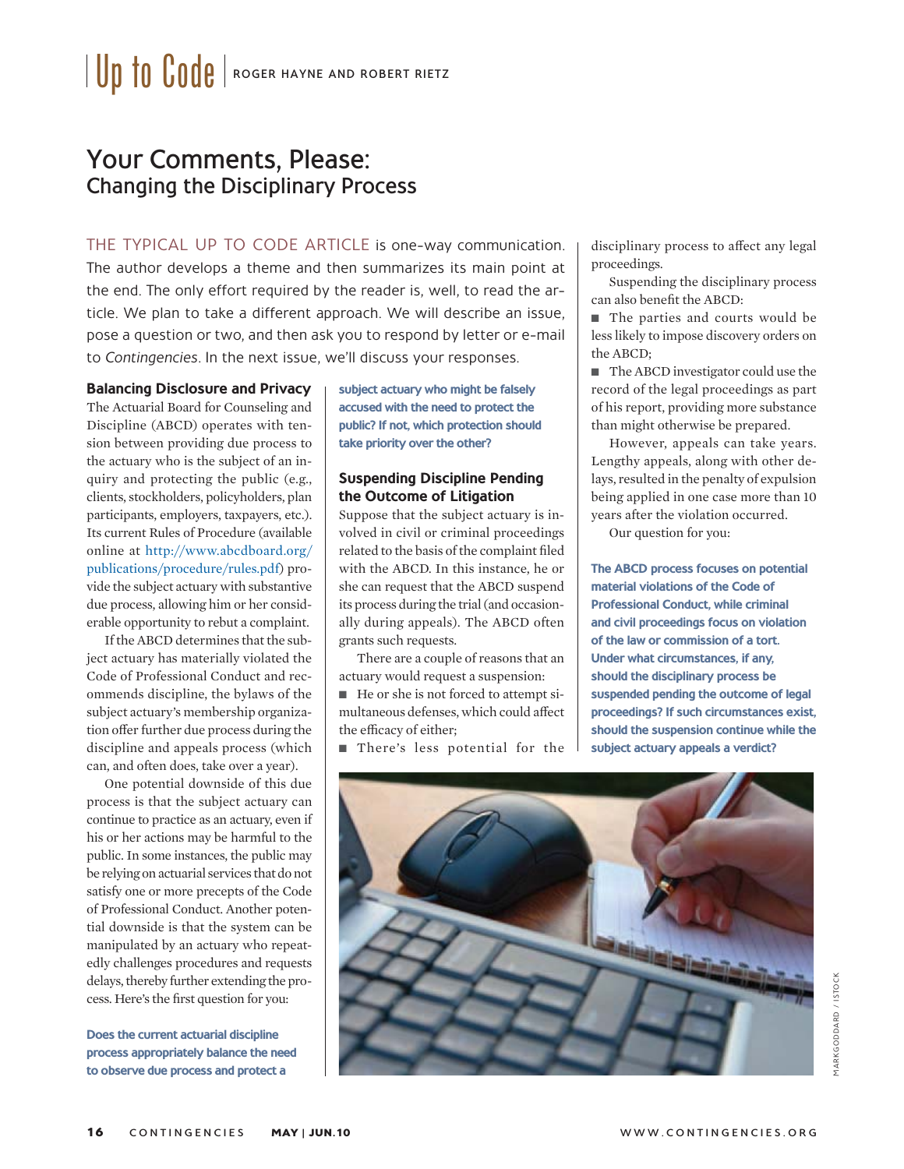# Your Comments, Please: Changing the Disciplinary Process

THE TYPICAL UP TO CODE ARTICLE is one-way communication. The author develops a theme and then summarizes its main point at the end. The only effort required by the reader is, well, to read the article. We plan to take a different approach. We will describe an issue, pose a question or two, and then ask you to respond by letter or e-mail to Contingencies. In the next issue, we'll discuss your responses.

#### **Balancing Disclosure and Privacy**

The Actuarial Board for Counseling and Discipline (ABCD) operates with tension between providing due process to the actuary who is the subject of an inquiry and protecting the public (e.g., clients, stockholders, policyholders, plan participants, employers, taxpayers, etc.). Its current Rules of Procedure (available online at http://www.abcdboard.org/ publications/procedure/rules.pdf) provide the subject actuary with substantive due process, allowing him or her considerable opportunity to rebut a complaint.

If the ABCD determines that the subject actuary has materially violated the Code of Professional Conduct and recommends discipline, the bylaws of the subject actuary's membership organization offer further due process during the discipline and appeals process (which can, and often does, take over a year).

One potential downside of this due process is that the subject actuary can continue to practice as an actuary, even if his or her actions may be harmful to the public. In some instances, the public may be relying on actuarial services that do not satisfy one or more precepts of the Code of Professional Conduct. Another potential downside is that the system can be manipulated by an actuary who repeatedly challenges procedures and requests delays, thereby further extending the process. Here's the first question for you:

**Does the current actuarial discipline process appropriately balance the need to observe due process and protect a** 

**subject actuary who might be falsely accused with the need to protect the public? If not, which protection should take priority over the other?**

## **Suspending Discipline Pending the Outcome of Litigation**

Suppose that the subject actuary is involved in civil or criminal proceedings related to the basis of the complaint filed with the ABCD. In this instance, he or she can request that the ABCD suspend its process during the trial (and occasionally during appeals). The ABCD often grants such requests.

There are a couple of reasons that an actuary would request a suspension:

■ He or she is not forced to attempt simultaneous defenses, which could affect the efficacy of either;

There's less potential for the

disciplinary process to affect any legal proceedings.

Suspending the disciplinary process can also benefit the ABCD:

■ The parties and courts would be less likely to impose discovery orders on the ABCD;

■ The ABCD investigator could use the record of the legal proceedings as part of his report, providing more substance than might otherwise be prepared.

However, appeals can take years. Lengthy appeals, along with other delays, resulted in the penalty of expulsion being applied in one case more than 10 years after the violation occurred.

Our question for you:

**The ABCD process focuses on potential material violations of the Code of Professional Conduct, while criminal and civil proceedings focus on violation of the law or commission of a tort. Under what circumstances, if any, should the disciplinary process be suspended pending the outcome of legal proceedings? If such circumstances exist, should the suspension continue while the subject actuary appeals a verdict?**

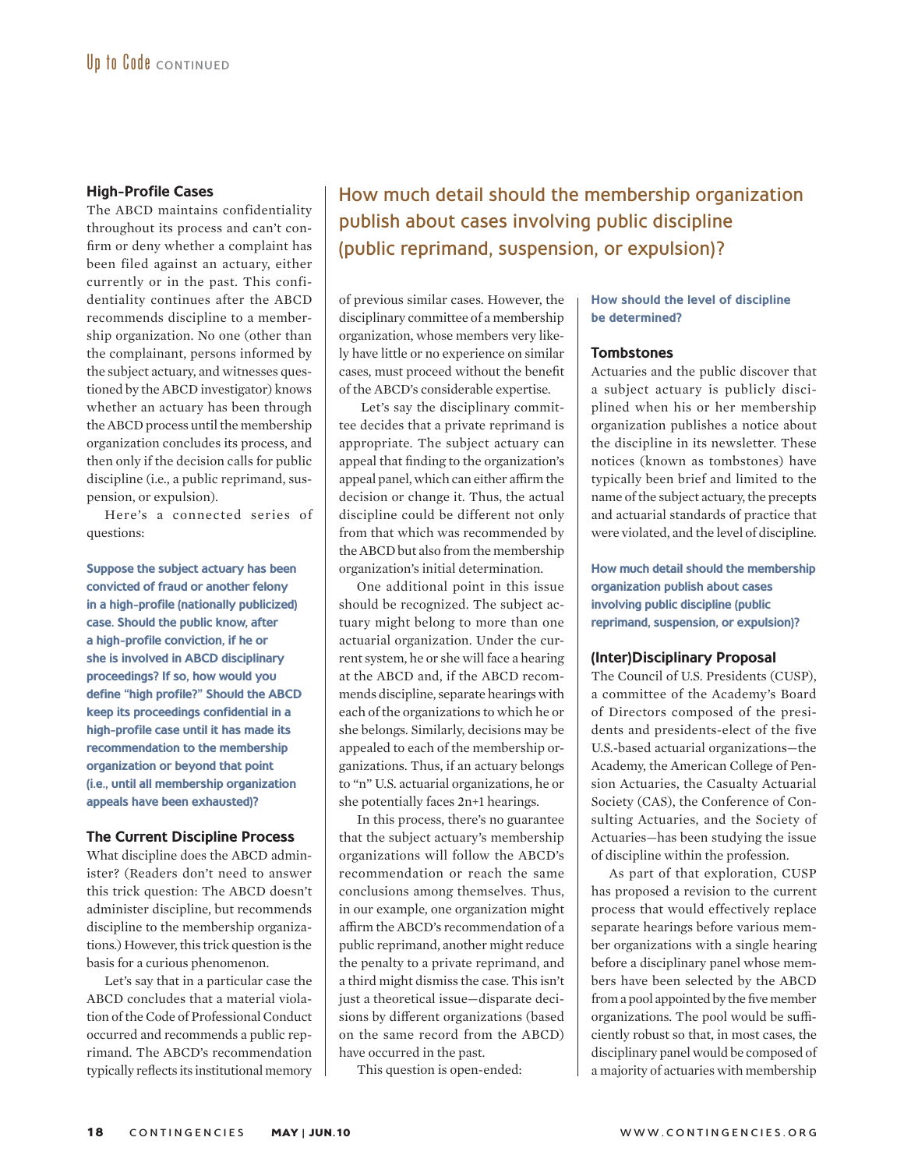#### **High-Profile Cases**

The ABCD maintains confidentiality throughout its process and can't confirm or deny whether a complaint has been filed against an actuary, either currently or in the past. This confidentiality continues after the ABCD recommends discipline to a membership organization. No one (other than the complainant, persons informed by the subject actuary, and witnesses questioned by the ABCD investigator) knows whether an actuary has been through the ABCD process until the membership organization concludes its process, and then only if the decision calls for public discipline (i.e., a public reprimand, suspension, or expulsion).

Here's a connected series of questions:

**Suppose the subject actuary has been convicted of fraud or another felony in a high-profile (nationally publicized) case. Should the public know, after a high-profile conviction, if he or she is involved in ABCD disciplinary proceedings? If so, how would you define "high profile?" Should the ABCD keep its proceedings confidential in a high-profile case until it has made its recommendation to the membership organization or beyond that point (i.e., until all membership organization appeals have been exhausted)?**

# **The Current Discipline Process**

What discipline does the ABCD administer? (Readers don't need to answer this trick question: The ABCD doesn't administer discipline, but recommends discipline to the membership organizations.) However, this trick question is the basis for a curious phenomenon.

Let's say that in a particular case the ABCD concludes that a material violation of the Code of Professional Conduct occurred and recommends a public reprimand. The ABCD's recommendation typically reflects its institutional memory How much detail should the membership organization publish about cases involving public discipline (public reprimand, suspension, or expulsion)?

of previous similar cases. However, the disciplinary committee of a membership organization, whose members very likely have little or no experience on similar cases, must proceed without the benefit of the ABCD's considerable expertise.

 Let's say the disciplinary committee decides that a private reprimand is appropriate. The subject actuary can appeal that finding to the organization's appeal panel, which can either affirm the decision or change it. Thus, the actual discipline could be different not only from that which was recommended by the ABCD but also from the membership organization's initial determination.

One additional point in this issue should be recognized. The subject actuary might belong to more than one actuarial organization. Under the current system, he or she will face a hearing at the ABCD and, if the ABCD recommends discipline, separate hearings with each of the organizations to which he or she belongs. Similarly, decisions may be appealed to each of the membership organizations. Thus, if an actuary belongs to "n" U.S. actuarial organizations, he or she potentially faces 2n+1 hearings.

In this process, there's no guarantee that the subject actuary's membership organizations will follow the ABCD's recommendation or reach the same conclusions among themselves. Thus, in our example, one organization might affirm the ABCD's recommendation of a public reprimand, another might reduce the penalty to a private reprimand, and a third might dismiss the case. This isn't just a theoretical issue—disparate decisions by different organizations (based on the same record from the ABCD) have occurred in the past.

This question is open-ended:

## **How should the level of discipline be determined?**

#### **Tombstones**

Actuaries and the public discover that a subject actuary is publicly disciplined when his or her membership organization publishes a notice about the discipline in its newsletter. These notices (known as tombstones) have typically been brief and limited to the name of the subject actuary, the precepts and actuarial standards of practice that were violated, and the level of discipline.

**How much detail should the membership organization publish about cases involving public discipline (public reprimand, suspension, or expulsion)?** 

#### **(Inter)Disciplinary Proposal**

The Council of U.S. Presidents (CUSP), a committee of the Academy's Board of Directors composed of the presidents and presidents-elect of the five U.S.-based actuarial organizations—the Academy, the American College of Pension Actuaries, the Casualty Actuarial Society (CAS), the Conference of Consulting Actuaries, and the Society of Actuaries—has been studying the issue of discipline within the profession.

As part of that exploration, CUSP has proposed a revision to the current process that would effectively replace separate hearings before various member organizations with a single hearing before a disciplinary panel whose members have been selected by the ABCD from a pool appointed by the five member organizations. The pool would be sufficiently robust so that, in most cases, the disciplinary panel would be composed of a majority of actuaries with membership